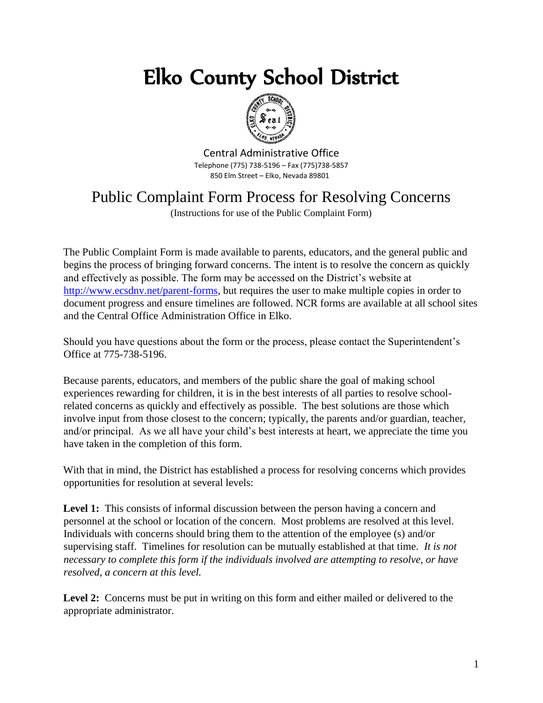# Elko County School District



Central Administrative Office Telephone (775) 738-5196 – Fax (775)738-5857 850 Elm Street – Elko, Nevada 89801

# Public Complaint Form Process for Resolving Concerns

(Instructions for use of the Public Complaint Form)

The Public Complaint Form is made available to parents, educators, and the general public and begins the process of bringing forward concerns. The intent is to resolve the concern as quickly and effectively as possible. The form may be accessed on the District's website at [http://www.ecsdnv.net/parent-forms,](http://www.ecsdnv.net/parent-forms) but requires the user to make multiple copies in order to document progress and ensure timelines are followed. NCR forms are available at all school sites and the Central Office Administration Office in Elko.

Should you have questions about the form or the process, please contact the Superintendent's Office at 775-738-5196.

Because parents, educators, and members of the public share the goal of making school experiences rewarding for children, it is in the best interests of all parties to resolve schoolrelated concerns as quickly and effectively as possible. The best solutions are those which involve input from those closest to the concern; typically, the parents and/or guardian, teacher, and/or principal. As we all have your child's best interests at heart, we appreciate the time you have taken in the completion of this form.

With that in mind, the District has established a process for resolving concerns which provides opportunities for resolution at several levels:

Level 1: This consists of informal discussion between the person having a concern and personnel at the school or location of the concern. Most problems are resolved at this level. Individuals with concerns should bring them to the attention of the employee (s) and/or supervising staff. Timelines for resolution can be mutually established at that time. *It is not necessary to complete this form if the individuals involved are attempting to resolve, or have resolved, a concern at this level.* 

Level 2: Concerns must be put in writing on this form and either mailed or delivered to the appropriate administrator.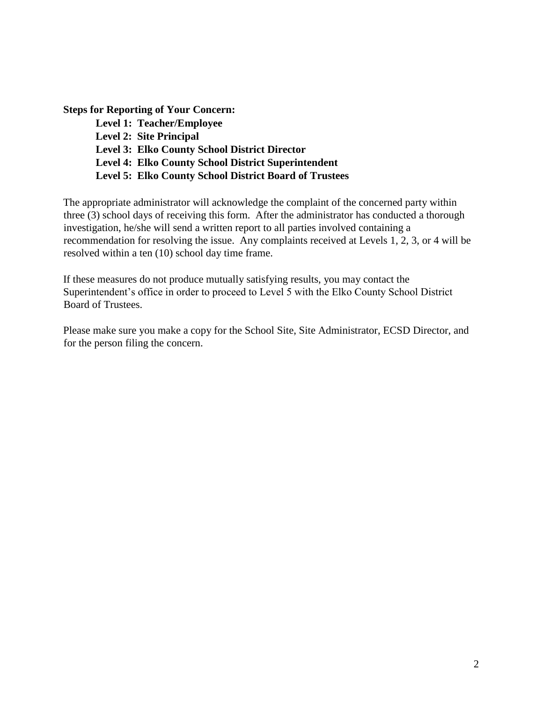**Steps for Reporting of Your Concern: Level 1: Teacher/Employee Level 2: Site Principal Level 3: Elko County School District Director Level 4: Elko County School District Superintendent Level 5: Elko County School District Board of Trustees** 

The appropriate administrator will acknowledge the complaint of the concerned party within three (3) school days of receiving this form. After the administrator has conducted a thorough investigation, he/she will send a written report to all parties involved containing a recommendation for resolving the issue. Any complaints received at Levels 1, 2, 3, or 4 will be resolved within a ten (10) school day time frame.

If these measures do not produce mutually satisfying results, you may contact the Superintendent's office in order to proceed to Level 5 with the Elko County School District Board of Trustees.

Please make sure you make a copy for the School Site, Site Administrator, ECSD Director, and for the person filing the concern.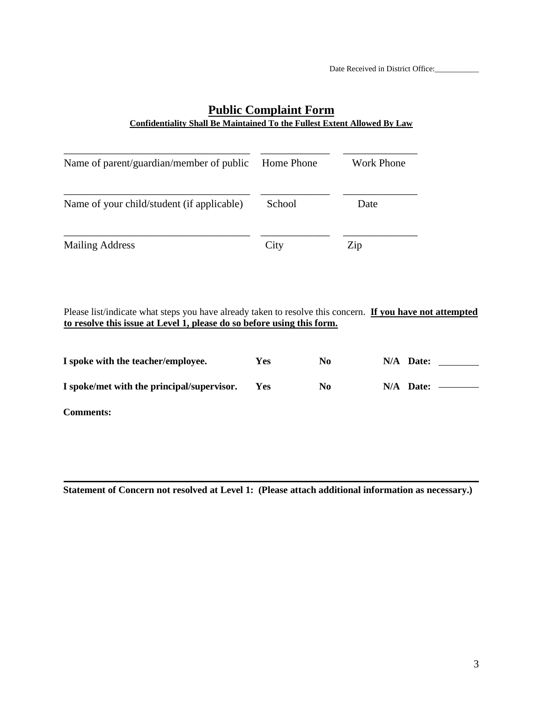## **Public Complaint Form Confidentiality Shall Be Maintained To the Fullest Extent Allowed By Law**

| Name of parent/guardian/member of public   | Home Phone | <b>Work Phone</b> |  |  |
|--------------------------------------------|------------|-------------------|--|--|
| Name of your child/student (if applicable) | School     | Date              |  |  |
| <b>Mailing Address</b>                     | City       | Zip               |  |  |

### Please list/indicate what steps you have already taken to resolve this concern. **If you have not attempted to resolve this issue at Level 1, please do so before using this form.**

| I spoke with the teacher/employee.         | Yes | N <sub>0</sub> | N/A Date: |  |
|--------------------------------------------|-----|----------------|-----------|--|
| I spoke/met with the principal/supervisor. | Yes | N <sub>0</sub> | N/A Date: |  |
| <b>Comments:</b>                           |     |                |           |  |

**Statement of Concern not resolved at Level 1: (Please attach additional information as necessary.)**